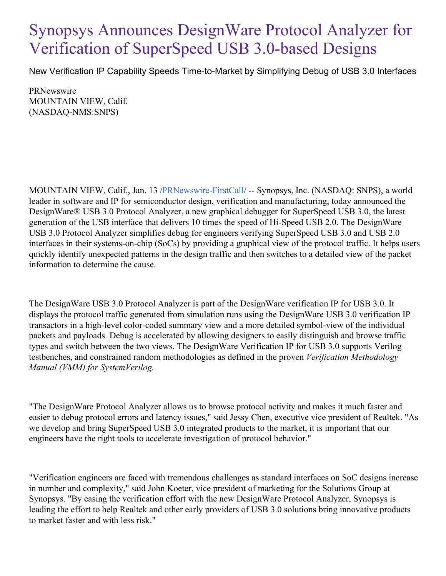## Synopsys Announces DesignWare Protocol Analyzer for Verification of SuperSpeed USB 3.0-based Designs

New Verification IP Capability Speeds Time-to-Market by Simplifying Debug of USB 3.0 Interfaces

**PRNewswire** MOUNTAIN VIEW, Calif. (NASDAQ-NMS:SNPS)

MOUNTAIN VIEW, Calif., Jan. 13 [/PRNewswire-FirstCall](http://www.prnewswire.com/)/ -- Synopsys, Inc. (NASDAQ: SNPS), a world leader in software and IP for semiconductor design, verification and manufacturing, today announced the DesignWare® USB 3.0 Protocol Analyzer, a new graphical debugger for SuperSpeed USB 3.0, the latest generation of the USB interface that delivers 10 times the speed of Hi-Speed USB 2.0. The DesignWare USB 3.0 Protocol Analyzer simplifies debug for engineers verifying SuperSpeed USB 3.0 and USB 2.0 interfaces in their systems-on-chip (SoCs) by providing a graphical view of the protocol traffic. It helps users quickly identify unexpected patterns in the design traffic and then switches to a detailed view of the packet information to determine the cause.

The DesignWare USB 3.0 Protocol Analyzer is part of the DesignWare verification IP for USB 3.0. It displays the protocol traffic generated from simulation runs using the DesignWare USB 3.0 verification IP transactors in a high-level color-coded summary view and a more detailed symbol-view of the individual packets and payloads. Debug is accelerated by allowing designers to easily distinguish and browse traffic types and switch between the two views. The DesignWare Verification IP for USB 3.0 supports Verilog testbenches, and constrained random methodologies as defined in the proven *Verification Methodology Manual (VMM) for SystemVerilog.*

"The DesignWare Protocol Analyzer allows us to browse protocol activity and makes it much faster and easier to debug protocol errors and latency issues," said Jessy Chen, executive vice president of Realtek. "As we develop and bring SuperSpeed USB 3.0 integrated products to the market, it is important that our engineers have the right tools to accelerate investigation of protocol behavior."

"Verification engineers are faced with tremendous challenges as standard interfaces on SoC designs increase in number and complexity," said John Koeter, vice president of marketing for the Solutions Group at Synopsys. "By easing the verification effort with the new DesignWare Protocol Analyzer, Synopsys is leading the effort to help Realtek and other early providers of USB 3.0 solutions bring innovative products to market faster and with less risk."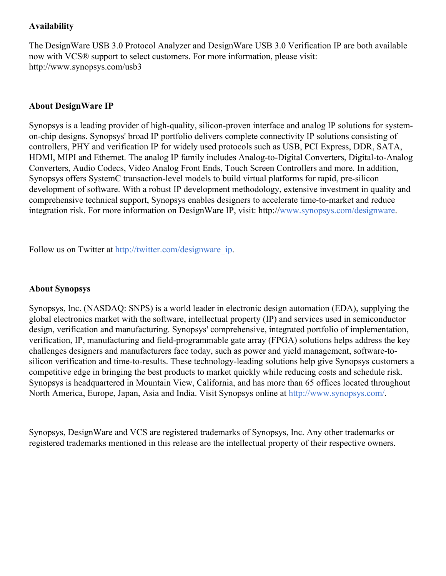## **Availability**

The DesignWare USB 3.0 Protocol Analyzer and DesignWare USB 3.0 Verification IP are both available now with VCS® support to select customers. For more information, please visit: http://www.synopsys.com/usb3

## **About DesignWare IP**

Synopsys is a leading provider of high-quality, silicon-proven interface and analog IP solutions for systemon-chip designs. Synopsys' broad IP portfolio delivers complete connectivity IP solutions consisting of controllers, PHY and verification IP for widely used protocols such as USB, PCI Express, DDR, SATA, HDMI, MIPI and Ethernet. The analog IP family includes Analog-to-Digital Converters, Digital-to-Analog Converters, Audio Codecs, Video Analog Front Ends, Touch Screen Controllers and more. In addition, Synopsys offers SystemC transaction-level models to build virtual platforms for rapid, pre-silicon development of software. With a robust IP development methodology, extensive investment in quality and comprehensive technical support, Synopsys enables designers to accelerate time-to-market and reduce integration risk. For more information on DesignWare IP, visit: http:/[/www.synopsys.com/designware](http://www.synopsys.com/designware).

Follow us on Twitter at [http://twitter.com/designware\\_ip](http://twitter.com/designware_ip).

## **About Synopsys**

Synopsys, Inc. (NASDAQ: SNPS) is a world leader in electronic design automation (EDA), supplying the global electronics market with the software, intellectual property (IP) and services used in semiconductor design, verification and manufacturing. Synopsys' comprehensive, integrated portfolio of implementation, verification, IP, manufacturing and field-programmable gate array (FPGA) solutions helps address the key challenges designers and manufacturers face today, such as power and yield management, software-tosilicon verification and time-to-results. These technology-leading solutions help give Synopsys customers a competitive edge in bringing the best products to market quickly while reducing costs and schedule risk. Synopsys is headquartered in Mountain View, California, and has more than 65 offices located throughout North America, Europe, Japan, Asia and India. Visit Synopsys online at <http://www.synopsys.com/>.

Synopsys, DesignWare and VCS are registered trademarks of Synopsys, Inc. Any other trademarks or registered trademarks mentioned in this release are the intellectual property of their respective owners.